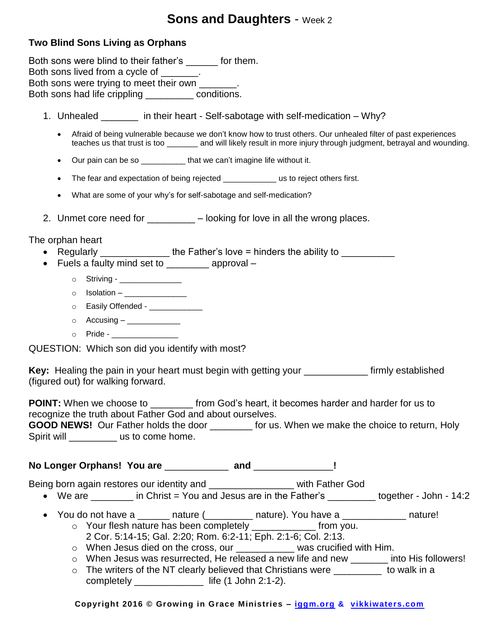## **Sons and Daughters - Week 2**

## **Two Blind Sons Living as Orphans**

Both sons were blind to their father's \_\_\_\_\_\_ for them. Both sons lived from a cycle of  $\qquad \qquad$ . Both sons were trying to meet their own \_\_\_\_\_\_\_. Both sons had life crippling \_\_\_\_\_\_\_\_\_ conditions.

- 1. Unhealed \_\_\_\_\_\_\_ in their heart Self-sabotage with self-medication Why?
	- Afraid of being vulnerable because we don't know how to trust others. Our unhealed filter of past experiences teaches us that trust is too \_\_\_\_\_\_\_ and will likely result in more injury through judgment, betrayal and wounding.
	- Our pain can be so \_\_\_\_\_\_\_\_\_\_\_ that we can't imagine life without it.
	- The fear and expectation of being rejected us to reject others first.
	- What are some of your why's for self-sabotage and self-medication?
- 2. Unmet core need for  $\blacksquare$  looking for love in all the wrong places.

The orphan heart

- Regularly  $\frac{1}{\sqrt{1-\frac{1}{\sqrt{1-\frac{1}{\sqrt{1-\frac{1}{\sqrt{1-\frac{1}{\sqrt{1-\frac{1}{\sqrt{1-\frac{1}{\sqrt{1-\frac{1}{\sqrt{1-\frac{1}{\sqrt{1-\frac{1}{\sqrt{1-\frac{1}{\sqrt{1-\frac{1}{\sqrt{1-\frac{1}{\sqrt{1-\frac{1}{\sqrt{1-\frac{1}{\sqrt{1-\frac{1}{\sqrt{1-\frac{1}{\sqrt{1-\frac{1}{\sqrt{1-\frac{1}{\sqrt{1-\frac{1}{\sqrt{1-\frac{1}{\sqrt{1-\frac{1}{\sqrt{1-\frac{1}{\sqrt{1-\$
- Fuels a faulty mind set to example approval
	- o Striving \_\_\_\_\_\_\_\_\_\_\_\_\_\_\_
	- $\circ$  Isolation \_\_\_\_\_\_\_\_\_\_\_\_\_\_\_
	- o Easily Offended \_\_\_\_\_\_\_\_\_\_\_\_\_
	- $\circ$  Accusing \_\_\_\_\_\_\_\_\_\_\_\_\_
	- $\circ$  Pride -

QUESTION: Which son did you identify with most?

**Key:** Healing the pain in your heart must begin with getting your \_\_\_\_\_\_\_\_\_\_\_\_ firmly established (figured out) for walking forward.

**POINT:** When we choose to \_\_\_\_\_\_\_\_\_ from God's heart, it becomes harder and harder for us to recognize the truth about Father God and about ourselves.

**GOOD NEWS!** Our Father holds the door for us. When we make the choice to return, Holy Spirit will **Spirit will** us to come home.

**No Longer Orphans! You are** \_\_\_\_\_\_\_\_\_\_\_\_ **and** \_\_\_\_\_\_\_\_\_\_\_\_\_\_\_**!** 

Being born again restores our identity and \_\_\_\_\_\_\_\_\_\_\_\_\_\_\_\_\_\_\_\_ with Father God

- We are  $\qquad \qquad$  in Christ = You and Jesus are in the Father's together John 14:2
- You do not have a \_\_\_\_\_\_\_ nature (\_\_\_\_\_\_\_\_\_ nature). You have a \_\_\_\_\_\_\_\_\_\_\_\_\_ nature! o Your flesh nature has been completely \_\_\_\_\_\_\_\_\_\_\_\_ from you.
	- 2 Cor. 5:14-15; Gal. 2:20; Rom. 6:2-11; Eph. 2:1-6; Col. 2:13.
	- o When Jesus died on the cross, our \_\_\_\_\_\_\_\_\_\_\_ was crucified with Him.
	- o When Jesus was resurrected, He released a new life and new \_\_\_\_\_\_\_ into His followers!
	- o The writers of the NT clearly believed that Christians were \_\_\_\_\_\_\_\_ to walk in a completely \_\_\_\_\_\_\_\_\_\_\_\_\_ life (1 John 2:1-2).

**Copyright 2016 © Growing in Grace Ministries – iggm.org & vikkiwaters.com**